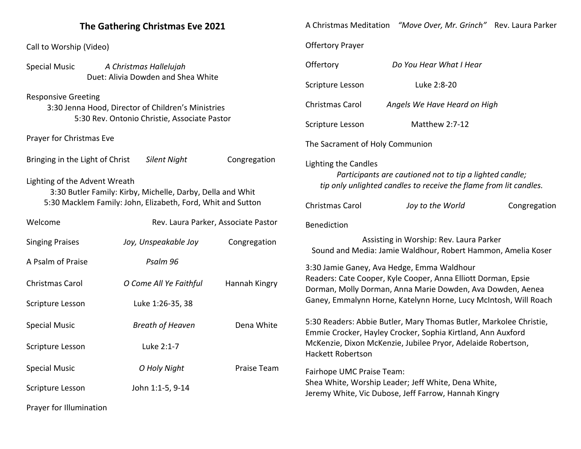| The Gathering Christmas Eve 2021                                                                                                 |                         |               | A Christmas Meditation "Move Over, Mr. Grinch" Rev. Laura Parker                                                                                                                                                              |                              |              |
|----------------------------------------------------------------------------------------------------------------------------------|-------------------------|---------------|-------------------------------------------------------------------------------------------------------------------------------------------------------------------------------------------------------------------------------|------------------------------|--------------|
| Call to Worship (Video)                                                                                                          |                         |               | <b>Offertory Prayer</b>                                                                                                                                                                                                       |                              |              |
| <b>Special Music</b><br>A Christmas Hallelujah                                                                                   |                         | Offertory     | Do You Hear What I Hear                                                                                                                                                                                                       |                              |              |
| Duet: Alivia Dowden and Shea White                                                                                               |                         |               | Scripture Lesson<br>Luke 2:8-20                                                                                                                                                                                               |                              |              |
| <b>Responsive Greeting</b><br>3:30 Jenna Hood, Director of Children's Ministries<br>5:30 Rev. Ontonio Christie, Associate Pastor |                         |               | Christmas Carol                                                                                                                                                                                                               | Angels We Have Heard on High |              |
|                                                                                                                                  |                         |               | Scripture Lesson                                                                                                                                                                                                              | Matthew 2:7-12               |              |
| Prayer for Christmas Eve                                                                                                         |                         |               | The Sacrament of Holy Communion                                                                                                                                                                                               |                              |              |
| Bringing in the Light of Christ<br>Silent Night<br>Congregation                                                                  |                         |               | Lighting the Candles<br>Participants are cautioned not to tip a lighted candle;<br>tip only unlighted candles to receive the flame from lit candles.                                                                          |                              |              |
| Lighting of the Advent Wreath<br>3:30 Butler Family: Kirby, Michelle, Darby, Della and Whit                                      |                         |               |                                                                                                                                                                                                                               |                              |              |
| 5:30 Macklem Family: John, Elizabeth, Ford, Whit and Sutton                                                                      |                         |               | Christmas Carol                                                                                                                                                                                                               | Joy to the World             | Congregation |
| Welcome<br>Rev. Laura Parker, Associate Pastor                                                                                   |                         | Benediction   |                                                                                                                                                                                                                               |                              |              |
| <b>Singing Praises</b>                                                                                                           | Joy, Unspeakable Joy    | Congregation  | Assisting in Worship: Rev. Laura Parker<br>Sound and Media: Jamie Waldhour, Robert Hammon, Amelia Koser                                                                                                                       |                              |              |
| A Psalm of Praise                                                                                                                | Psalm 96                |               | 3:30 Jamie Ganey, Ava Hedge, Emma Waldhour<br>Readers: Cate Cooper, Kyle Cooper, Anna Elliott Dorman, Epsie<br>Dorman, Molly Dorman, Anna Marie Dowden, Ava Dowden, Aenea                                                     |                              |              |
| Christmas Carol                                                                                                                  | O Come All Ye Faithful  | Hannah Kingry |                                                                                                                                                                                                                               |                              |              |
| Scripture Lesson                                                                                                                 | Luke 1:26-35, 38        |               | Ganey, Emmalynn Horne, Katelynn Horne, Lucy McIntosh, Will Roach                                                                                                                                                              |                              |              |
| <b>Special Music</b>                                                                                                             | <b>Breath of Heaven</b> | Dena White    | 5:30 Readers: Abbie Butler, Mary Thomas Butler, Markolee Christie,<br>Emmie Crocker, Hayley Crocker, Sophia Kirtland, Ann Auxford<br>McKenzie, Dixon McKenzie, Jubilee Pryor, Adelaide Robertson,<br><b>Hackett Robertson</b> |                              |              |
| Scripture Lesson                                                                                                                 | Luke 2:1-7              |               |                                                                                                                                                                                                                               |                              |              |
| <b>Special Music</b>                                                                                                             | O Holy Night            | Praise Team   | Fairhope UMC Praise Team:                                                                                                                                                                                                     |                              |              |
| Scripture Lesson                                                                                                                 | John 1:1-5, 9-14        |               | Shea White, Worship Leader; Jeff White, Dena White,<br>Jeremy White, Vic Dubose, Jeff Farrow, Hannah Kingry                                                                                                                   |                              |              |
| Prayer for Illumination                                                                                                          |                         |               |                                                                                                                                                                                                                               |                              |              |